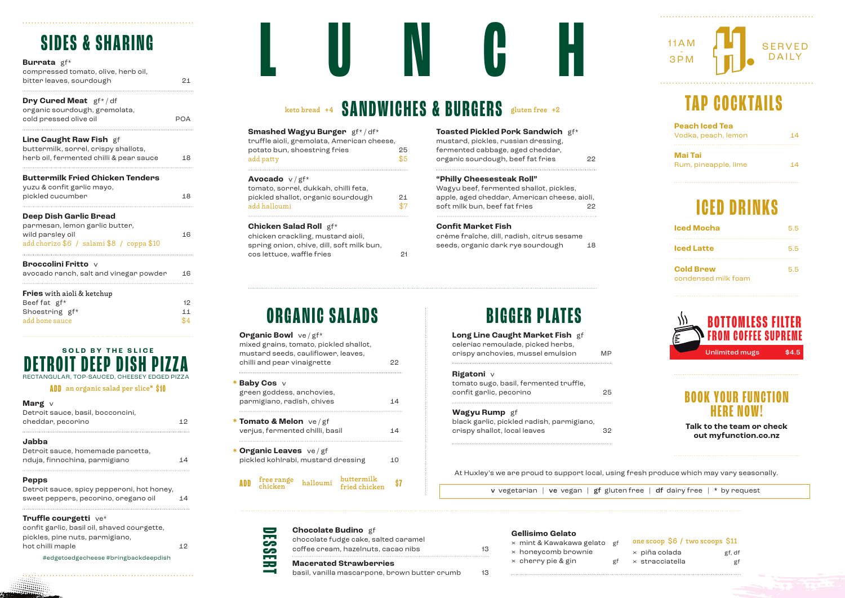# **SIDES & SHARING**

| compressed tomato, olive, herb oil, |    |
|-------------------------------------|----|
| bitter leaves, sourdough            | 21 |
|                                     |    |

**Dry Cured Meat** gf\* / df

| organic sourdough, gremolata, |            |
|-------------------------------|------------|
| cold pressed olive oil        | <b>POA</b> |

|  | Line Caught Raw Fish gf |  |  |  |
|--|-------------------------|--|--|--|
|--|-------------------------|--|--|--|

| buttermilk, sorrel, crispy shallots,    |    |
|-----------------------------------------|----|
| herb oil, fermented chilli & pear sauce | 18 |
|                                         |    |

### **Buttermilk Fried Chicken Tenders**

| yuzu & confit garlic mayo, |    |
|----------------------------|----|
| pickled cucumber           | 18 |
|                            |    |

#### **Deep Dish Garlic Bread**

| parmesan, lemon garlic butter,            |    |
|-------------------------------------------|----|
| wild parsley oil                          | 16 |
| add chorizo \$6 / salami \$8 / coppa \$10 |    |

#### **Broccolini Fritto** v

| avocado ranch, salt and vinegar powder | 16  |
|----------------------------------------|-----|
| <b>Fries</b> with aioli & ketchup      |     |
| Beef fat gf*                           | 12  |
| Shoestring gf*                         | 11  |
| add bone sauce                         | \$4 |

# RECTANGULAR, TOP-SAUCED, CHEESEY EDGED PIZZA **DETROIT DEEP DISH PIZZA SOLD BY THE SLICE**

**ADD** an organic salad per slice\* **\$10**

### **Marg** v

| Detroit sauce, basil, bocconcini, |    |
|-----------------------------------|----|
| cheddar, pecorino                 | 12 |

#### **Jabba**

| Detroit sauce, homemade pancetta, |    |
|-----------------------------------|----|
| nduja, finnochina, parmigiano     | 14 |

## **Pepps**

| Detroit sauce, spicy pepperoni, hot honey, |    |
|--------------------------------------------|----|
| sweet peppers, pecorino, oregano oil       | 14 |

## **Truffle courgetti** ve\*

confit garlic, basil oil, shaved courgette, pickles, pine nuts, parmigiano, hot chilli maple 12

#### #edgetoedgecheese #bringbackdeepdish

# **Keto bread +4 SANDWICHES & BURGERS** gluten free +2

**LUNCH**

| Smashed Wagyu Burger gf*/df*               |     |
|--------------------------------------------|-----|
| truffle aioli, gremolata, American cheese, |     |
| potato bun, shoestring fries               | 25  |
| add patty                                  | \$5 |
|                                            |     |

## **Avocado** v / gf\*

| 21  |
|-----|
| \$7 |
|     |

#### **Chicken Salad Roll** gf\*

**Organic Bowl** ve / gf\*

green goddess, anchovies,

**Tomato & Melon** ve / gf \*

**Organic Leaves** ve / gf \*

free range

**Baby Cos** v \*

| chicken crackling, mustard aioli,         |    |
|-------------------------------------------|----|
| spring onion, chive, dill, soft milk bun, |    |
| cos lettuce, waffle fries                 | 21 |

**ORGANIC SALADS**

parmigiano, radish, chives 14

verius, fermented chilli, basil 14

pickled kohlrabi, mustard dressing 10

**ADD** free-range halloumi <sup>buttermilk</sup> \$7

halloumi

mixed grains, tomato, pickled shallot, mustard seeds, cauliflower, leaves, chilli and pear vinaigrette 22

| <b>Toasted Pickled Pork Sandwich</b> gf* |    |
|------------------------------------------|----|
| mustard, pickles, russian dressing,      |    |
| fermented cabbage, aged cheddar,         |    |
| organic sourdough, beef fat fries        | 22 |
|                                          |    |

#### **"Philly Cheesesteak Roll"**

Wagyu beef, fermented shallot, pickles, apple, aged cheddar, American cheese, aioli, soft milk bun, beef fat fries 22

## **Confit Market Fish**

crème fraîche, dill, radish, citrus sesame seeds, organic dark rye sourdough 18

# **BIGGER PLATES**

| Long Line Caught Market Fish gf   |    |
|-----------------------------------|----|
| celeriac remoulade, picked herbs, |    |
| crispy anchovies, mussel emulsion | MP |

## **Rigatoni** v

| <b>Wagyu Rump</b> gf                   |    |
|----------------------------------------|----|
| confit garlic, pecorino                | 25 |
| tomato sugo, basil, fermented truffle, |    |

| black garlic, pickled radish, parmigiano, |    |
|-------------------------------------------|----|
| crispy shallot, local leaves              | 32 |

# SERVED DAILY  $11AM$ <br> $3PM$

# **TAP COCKTAILS**

| <b>Peach Iced Tea</b> |    |
|-----------------------|----|
| Vodka, peach, lemon   | 14 |
|                       |    |
| Mai Tai               |    |
| Rum, pineapple, lime  | 14 |

# **ICED DRINKS**

| <b>Iced Mocha</b>                       |     |  |
|-----------------------------------------|-----|--|
| <b>Iced Latte</b>                       | 5.5 |  |
| <b>Cold Brew</b><br>condensed milk foam | 5.5 |  |



## **BOOK YOUR FUNCTION HERE NOW!**

**Talk to the team or check out myfunction.co.nz**

At Huxley's we are proud to support local, using fresh produce which may vary seasonally.

n free | df dairy free | \* by request

| $\equiv$              |                                                                    |    |
|-----------------------|--------------------------------------------------------------------|----|
|                       | <b>Chocolate Budino</b> gf<br>chocolate fudge cake, salted caramel |    |
| 55<br>S               | coffee cream, hazelnuts, cacao nibs                                | 13 |
| <b>COL</b><br>$=$ $=$ | <b>Macerated Strawberries</b>                                      |    |
| $\rightarrow$         | basil, vanilla mascarpone, brown butter crumb                      | 13 |

#### **Gellisimo Gelato**

| × mint & Kawakawa gelato gf                      |    | one scoop $$6 /$ two scoops $$11$              |              |
|--------------------------------------------------|----|------------------------------------------------|--------------|
| $\times$ honeycomb brownie<br>× cherry pie & gin | gf | $\times$ piña colada<br>$\times$ stracciatella | gf, df<br>gf |
|                                                  |    |                                                |              |

| v vegetarian   ve vegan   gf gluter |  |  |
|-------------------------------------|--|--|
|                                     |  |  |

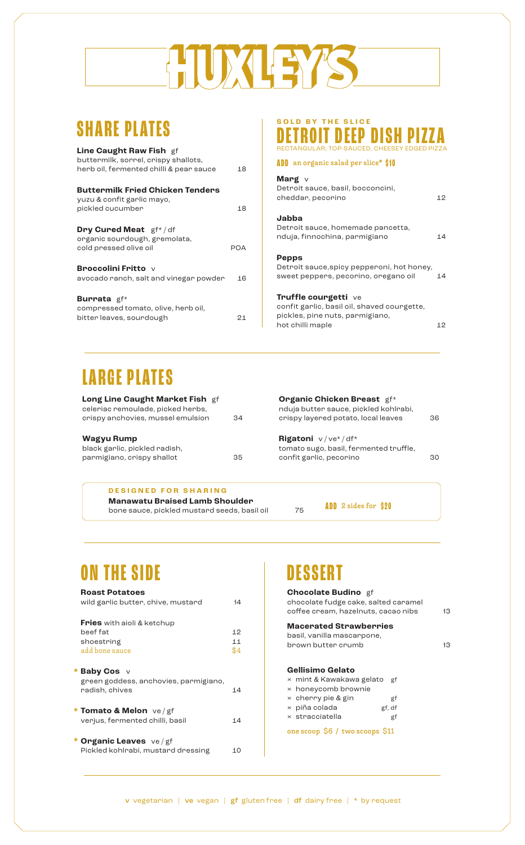# DXLEY'S

# **SHARE PLATES**

| <b>Line Caught Raw Fish gf</b>                                        |     |
|-----------------------------------------------------------------------|-----|
| buttermilk, sorrel, crispy shallots,                                  |     |
| herb oil, fermented chilli & pear sauce                               | 18  |
| <b>Buttermilk Fried Chicken Tenders</b><br>yuzu & confit garlic mayo, |     |
| pickled cucumber                                                      | 18  |
| <b>Dry Cured Meat</b> gf*/df<br>organic sourdough, gremolata,         |     |
| cold pressed olive oil                                                | POA |
| <b>Broccolini Fritto</b> v                                            |     |
| avocado ranch, salt and vinegar powder                                | 16  |
| <b>Burrata</b> gf*<br>compressed tomato, olive, herb oil,             |     |
| bitter leaves, sourdough                                              | 21  |
|                                                                       |     |

## RECTANGULAR, TOP-SAUCED, CHEESEY EDGED PIZZA **DETROIT DEEP DISH PIZZA SOLD BY THE SLICE**

**ADD** an organic salad per slice\* **\$10**

### **Marg** v

| Detroit sauce, basil, bocconcini,<br>cheddar, pecorino                                                                     | 12 |
|----------------------------------------------------------------------------------------------------------------------------|----|
| Jabba<br>Detroit sauce, homemade pancetta,<br>nduja, finnochina, parmigiano                                                | 14 |
| <b>Pepps</b><br>Detroit sauce, spicy pepperoni, hot honey,<br>sweet peppers, pecorino, oregano oil                         | 14 |
| Truffle courgetti ve<br>confit garlic, basil oil, shaved courgette,<br>pickles, pine nuts, parmigiano,<br>hot chilli maple | 12 |

# **LARGE PLATES**

| Long Line Caught Market Fish gf<br>celeriac remoulade, picked herbs,<br>crispy anchovies, mussel emulsion | 34 | <b>Organic Chicken Breast gf*</b><br>nduja butter sauce, pickled kohlrabi,<br>crispy layered potato, local leaves | 36 |
|-----------------------------------------------------------------------------------------------------------|----|-------------------------------------------------------------------------------------------------------------------|----|
| <b>Wagyu Rump</b><br>black garlic, pickled radish,<br>parmigiano, crispy shallot                          | 35 | <b>Rigatoni</b> $v/ve^*/df^*$<br>tomato sugo, basil, fermented truffle,<br>confit garlic, pecorino                | 30 |

**Manawatu Braised Lamb Shoulder** bone sauce, pickled mustard seeds, basil oil 75 **DESIGNED FOR SHARING**

**ADD** 2 sides for **\$20**

# **ON THE SIDE**

## **Roast Potatoes** wild garlic butter, chive, mustard 14 **Fries** with aioli & ketchup beef fat 12 shoestring 11<br>add bone sauce 34 add bone sauce **Baby Cos** v \* green goddess, anchovies, parmigiano, radish, chives 14 **Tomato & Melon** ve / gf \* verjus, fermented chilli, basil 14 **Organic Leaves** ve / gf \* Pickled kohlrabi, mustard dressing 10

# **DESSER**

| <b>Chocolate Budino</b> gf<br>chocolate fudge cake, salted caramel<br>coffee cream, hazelnuts, cacao nibs<br>13 |        |    |
|-----------------------------------------------------------------------------------------------------------------|--------|----|
| <b>Macerated Strawberries</b><br>basil, vanilla mascarpone,                                                     |        |    |
| brown butter crumb                                                                                              |        | 13 |
| Gellisimo Gelato                                                                                                |        |    |
| × mint & Kawakawa gelato<br>$\times$ honeycomb brownie                                                          | ₫f     |    |
| $\times$ cherry pie & gin                                                                                       | gf     |    |
| $\times$ piña colada                                                                                            | gf, df |    |
| $\times$ stracciatella                                                                                          | gf     |    |
| one scoop \$6 / two scoops \$11                                                                                 |        |    |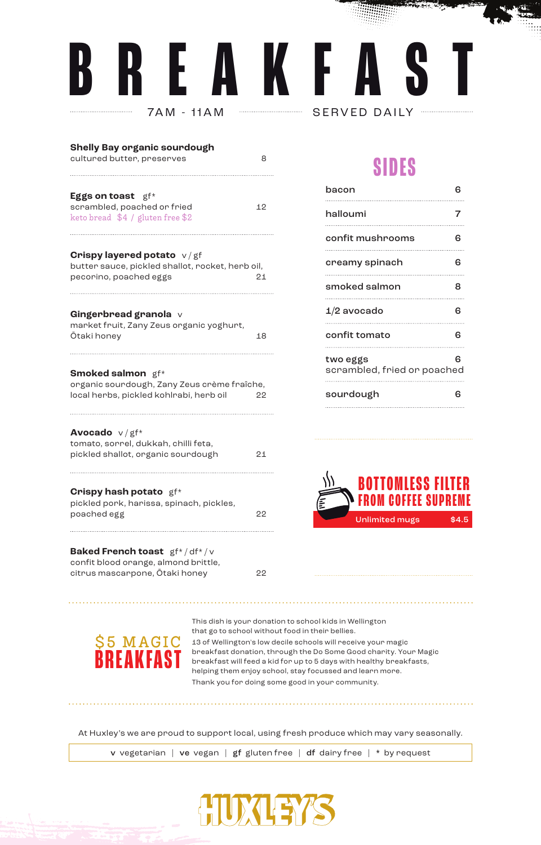# **BREAKFA THE SERVED DAILY**

| Shelly Bay organic sourdough<br>cultured butter, preserves                                                         | 8  |
|--------------------------------------------------------------------------------------------------------------------|----|
| Eggs on toast gf*<br>scrambled, poached or fried<br>keto bread \$4 / gluten free \$2                               | 12 |
| <b>Crispy layered potato</b> $v/gf$<br>butter sauce, pickled shallot, rocket, herb oil,<br>pecorino, poached eggs  | 21 |
| Gingerbread granola v<br>market fruit, Zany Zeus organic yoghurt,<br>Ōtaki honey                                   | 18 |
| <b>Smoked salmon</b> gf*<br>organic sourdough, Zany Zeus crème fraîche,<br>local herbs, pickled kohlrabi, herb oil | 22 |
| Avocado v/gf*<br>tomato, sorrel, dukkah, chilli feta,<br>pickled shallot, organic sourdough                        | 21 |
| <b>Crispy hash potato</b> gf*<br>pickled pork, harissa, spinach, pickles,<br>poached egg                           | 22 |
| Baked French toast gf*/df*/v                                                                                       |    |

# **SIDES**

فسيطوع والمراجع والمحارب

| bacon                                   |   |
|-----------------------------------------|---|
| halloumi                                | 7 |
| confit mushrooms                        | 6 |
| creamy spinach                          | 6 |
| smoked salmon                           | 8 |
| $1/2$ avocado                           | ഒ |
| confit tomato                           | ഒ |
| two eggs<br>scrambled, fried or poached | ഒ |
| sourdough                               |   |



**BREAKFAST**

confit blood orange, almond brittle,

citrus mascarpone, Ōtaki honey 22

 $$5$$   $$MAGIC$  and  $$^{58}$  and  $$^{58}$  meak fact densition should b the Do Some Good chanity. You This dish is your donation to school kids in Wellington that go to school without food in their bellies. breakfast donation, through the Do Some Good charity. Your Magic breakfast will feed a kid for up to 5 days with healthy breakfasts, helping them enjoy school, stay focussed and learn more. Thank you for doing some good in your community.

At Huxley's we are proud to support local, using fresh produce which may vary seasonally.

. . . . . . . . . . . . . . . . . . .

v vegetarian | ve vegan | gf gluten free | df dairy free | \* by request